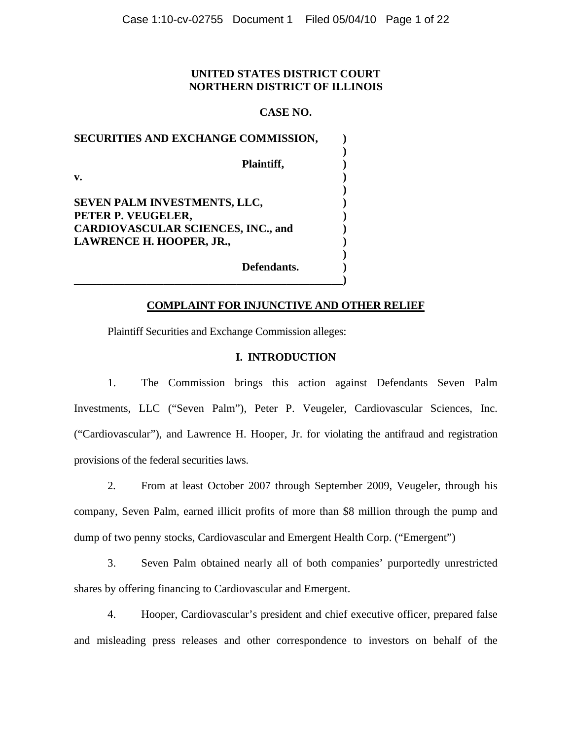# **UNITED STATES DISTRICT COURT NORTHERN DISTRICT OF ILLINOIS**

# **CASE NO.**

| SECURITIES AND EXCHANGE COMMISSION,       |  |
|-------------------------------------------|--|
| Plaintiff,                                |  |
| $\mathbf{v}$ .                            |  |
|                                           |  |
| SEVEN PALM INVESTMENTS, LLC,              |  |
| PETER P. VEUGELER,                        |  |
| <b>CARDIOVASCULAR SCIENCES, INC., and</b> |  |
| LAWRENCE H. HOOPER, JR.,                  |  |
|                                           |  |
| Defendants.                               |  |

**\_\_\_\_\_\_\_\_\_\_\_\_\_\_\_\_\_\_\_\_\_\_\_\_\_\_\_\_\_\_\_\_\_\_\_\_\_\_\_\_\_\_\_\_\_\_\_\_)** 

## **COMPLAINT FOR INJUNCTIVE AND OTHER RELIEF**

Plaintiff Securities and Exchange Commission alleges:

### **I. INTRODUCTION**

1. The Commission brings this action against Defendants Seven Palm Investments, LLC ("Seven Palm"), Peter P. Veugeler, Cardiovascular Sciences, Inc. ("Cardiovascular"), and Lawrence H. Hooper, Jr. for violating the antifraud and registration provisions of the federal securities laws.

2. From at least October 2007 through September 2009, Veugeler, through his company, Seven Palm, earned illicit profits of more than \$8 million through the pump and dump of two penny stocks, Cardiovascular and Emergent Health Corp. ("Emergent")

3. Seven Palm obtained nearly all of both companies' purportedly unrestricted shares by offering financing to Cardiovascular and Emergent.

4. Hooper, Cardiovascular's president and chief executive officer, prepared false and misleading press releases and other correspondence to investors on behalf of the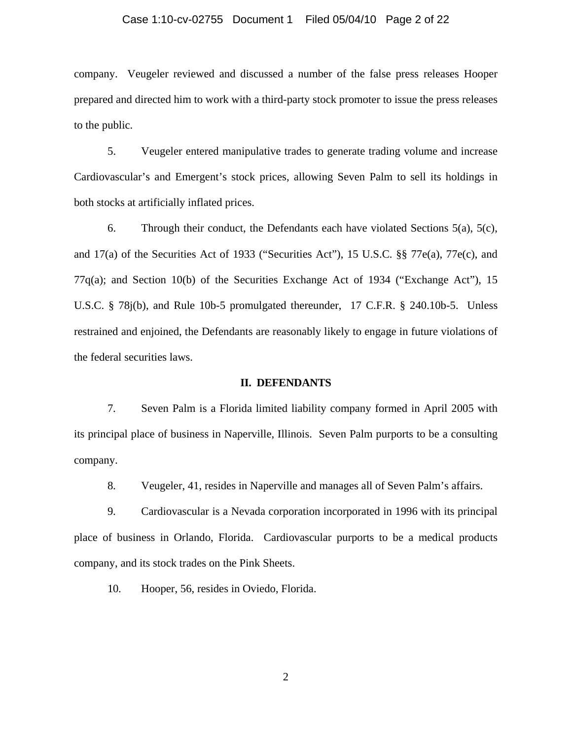### Case 1:10-cv-02755 Document 1 Filed 05/04/10 Page 2 of 22

company. Veugeler reviewed and discussed a number of the false press releases Hooper prepared and directed him to work with a third-party stock promoter to issue the press releases to the public.

5. Veugeler entered manipulative trades to generate trading volume and increase Cardiovascular's and Emergent's stock prices, allowing Seven Palm to sell its holdings in both stocks at artificially inflated prices.

6. Through their conduct, the Defendants each have violated Sections  $5(a)$ ,  $5(c)$ , and 17(a) of the Securities Act of 1933 ("Securities Act"), 15 U.S.C. §§ 77e(a), 77e(c), and 77q(a); and Section 10(b) of the Securities Exchange Act of 1934 ("Exchange Act"), 15 U.S.C. § 78j(b), and Rule 10b-5 promulgated thereunder, 17 C.F.R. § 240.10b-5. Unless restrained and enjoined, the Defendants are reasonably likely to engage in future violations of the federal securities laws.

### **II. DEFENDANTS**

7. Seven Palm is a Florida limited liability company formed in April 2005 with its principal place of business in Naperville, Illinois. Seven Palm purports to be a consulting company.

8. Veugeler, 41, resides in Naperville and manages all of Seven Palm's affairs.

9. Cardiovascular is a Nevada corporation incorporated in 1996 with its principal place of business in Orlando, Florida. Cardiovascular purports to be a medical products company, and its stock trades on the Pink Sheets.

10. Hooper, 56, resides in Oviedo, Florida.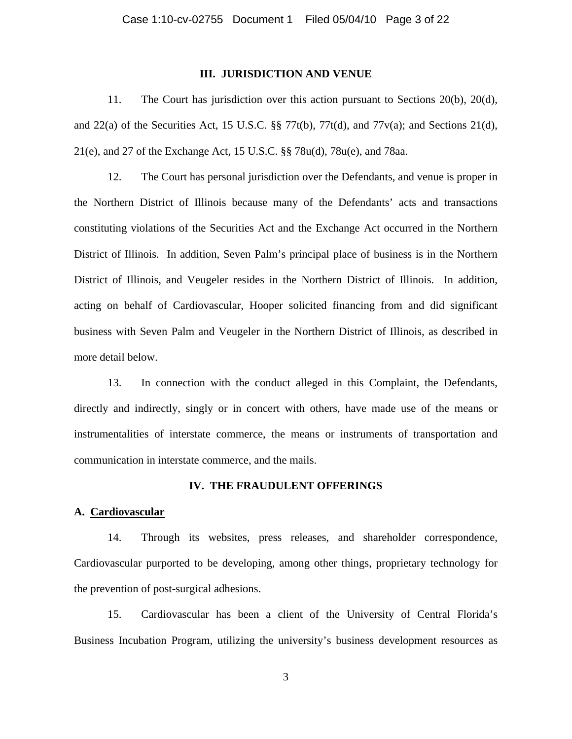### **III. JURISDICTION AND VENUE**

11. The Court has jurisdiction over this action pursuant to Sections 20(b), 20(d), and  $22(a)$  of the Securities Act, 15 U.S.C. §§ 77t(b), 77t(d), and 77v(a); and Sections 21(d), 21(e), and 27 of the Exchange Act, 15 U.S.C. §§ 78u(d), 78u(e), and 78aa.

12. The Court has personal jurisdiction over the Defendants, and venue is proper in the Northern District of Illinois because many of the Defendants' acts and transactions constituting violations of the Securities Act and the Exchange Act occurred in the Northern District of Illinois. In addition, Seven Palm's principal place of business is in the Northern District of Illinois, and Veugeler resides in the Northern District of Illinois. In addition, acting on behalf of Cardiovascular, Hooper solicited financing from and did significant business with Seven Palm and Veugeler in the Northern District of Illinois, as described in more detail below.

13. In connection with the conduct alleged in this Complaint, the Defendants, directly and indirectly, singly or in concert with others, have made use of the means or instrumentalities of interstate commerce, the means or instruments of transportation and communication in interstate commerce, and the mails.

#### **IV. THE FRAUDULENT OFFERINGS**

### **A. Cardiovascular**

14. Through its websites, press releases, and shareholder correspondence, Cardiovascular purported to be developing, among other things, proprietary technology for the prevention of post-surgical adhesions.

15. Cardiovascular has been a client of the University of Central Florida's Business Incubation Program, utilizing the university's business development resources as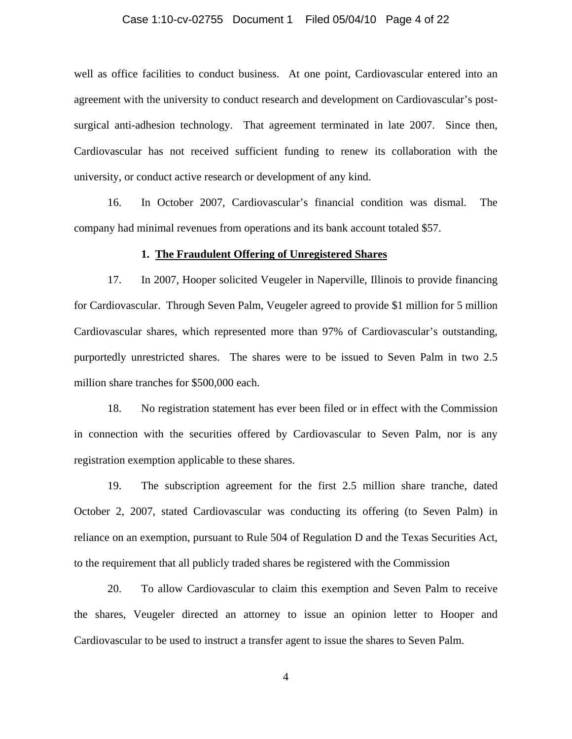### Case 1:10-cv-02755 Document 1 Filed 05/04/10 Page 4 of 22

well as office facilities to conduct business. At one point, Cardiovascular entered into an agreement with the university to conduct research and development on Cardiovascular's postsurgical anti-adhesion technology. That agreement terminated in late 2007. Since then, Cardiovascular has not received sufficient funding to renew its collaboration with the university, or conduct active research or development of any kind.

16. In October 2007, Cardiovascular's financial condition was dismal. The company had minimal revenues from operations and its bank account totaled \$57.

#### **1. The Fraudulent Offering of Unregistered Shares**

17. In 2007, Hooper solicited Veugeler in Naperville, Illinois to provide financing for Cardiovascular. Through Seven Palm, Veugeler agreed to provide \$1 million for 5 million Cardiovascular shares, which represented more than 97% of Cardiovascular's outstanding, purportedly unrestricted shares. The shares were to be issued to Seven Palm in two 2.5 million share tranches for \$500,000 each.

18. No registration statement has ever been filed or in effect with the Commission in connection with the securities offered by Cardiovascular to Seven Palm, nor is any registration exemption applicable to these shares.

19. The subscription agreement for the first 2.5 million share tranche, dated October 2, 2007, stated Cardiovascular was conducting its offering (to Seven Palm) in reliance on an exemption, pursuant to Rule 504 of Regulation D and the Texas Securities Act, to the requirement that all publicly traded shares be registered with the Commission

20. To allow Cardiovascular to claim this exemption and Seven Palm to receive the shares, Veugeler directed an attorney to issue an opinion letter to Hooper and Cardiovascular to be used to instruct a transfer agent to issue the shares to Seven Palm.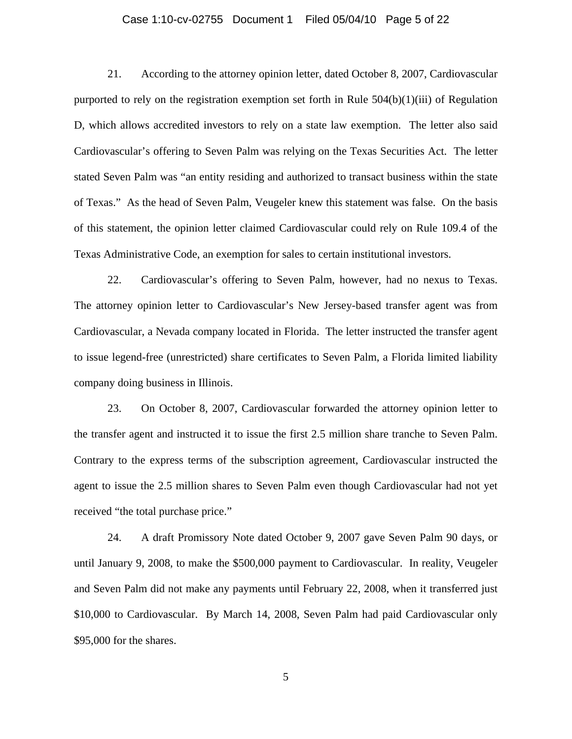#### Case 1:10-cv-02755 Document 1 Filed 05/04/10 Page 5 of 22

21. According to the attorney opinion letter, dated October 8, 2007, Cardiovascular purported to rely on the registration exemption set forth in Rule  $504(b)(1)(iii)$  of Regulation D, which allows accredited investors to rely on a state law exemption. The letter also said Cardiovascular's offering to Seven Palm was relying on the Texas Securities Act. The letter stated Seven Palm was "an entity residing and authorized to transact business within the state of Texas." As the head of Seven Palm, Veugeler knew this statement was false. On the basis of this statement, the opinion letter claimed Cardiovascular could rely on Rule 109.4 of the Texas Administrative Code, an exemption for sales to certain institutional investors.

22. Cardiovascular's offering to Seven Palm, however, had no nexus to Texas. The attorney opinion letter to Cardiovascular's New Jersey-based transfer agent was from Cardiovascular, a Nevada company located in Florida. The letter instructed the transfer agent to issue legend-free (unrestricted) share certificates to Seven Palm, a Florida limited liability company doing business in Illinois.

23. On October 8, 2007, Cardiovascular forwarded the attorney opinion letter to the transfer agent and instructed it to issue the first 2.5 million share tranche to Seven Palm. Contrary to the express terms of the subscription agreement, Cardiovascular instructed the agent to issue the 2.5 million shares to Seven Palm even though Cardiovascular had not yet received "the total purchase price."

24. A draft Promissory Note dated October 9, 2007 gave Seven Palm 90 days, or until January 9, 2008, to make the \$500,000 payment to Cardiovascular. In reality, Veugeler and Seven Palm did not make any payments until February 22, 2008, when it transferred just \$10,000 to Cardiovascular. By March 14, 2008, Seven Palm had paid Cardiovascular only \$95,000 for the shares.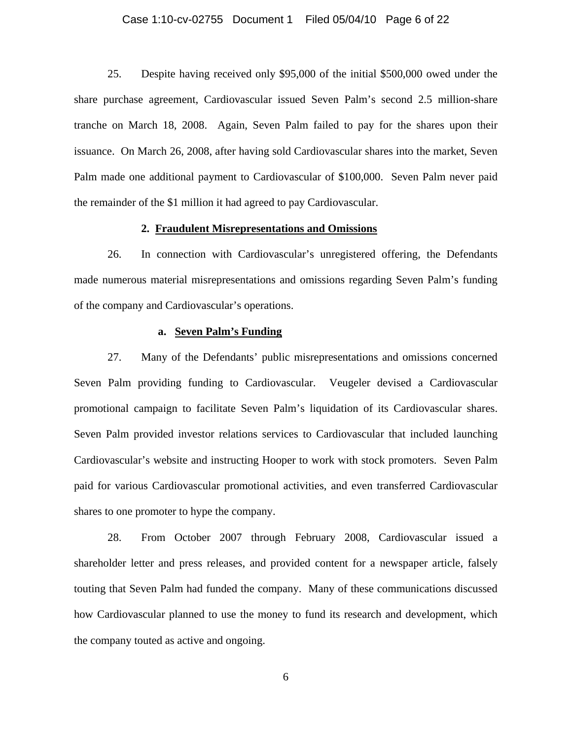#### Case 1:10-cv-02755 Document 1 Filed 05/04/10 Page 6 of 22

25. Despite having received only \$95,000 of the initial \$500,000 owed under the share purchase agreement, Cardiovascular issued Seven Palm's second 2.5 million-share tranche on March 18, 2008. Again, Seven Palm failed to pay for the shares upon their issuance. On March 26, 2008, after having sold Cardiovascular shares into the market, Seven Palm made one additional payment to Cardiovascular of \$100,000. Seven Palm never paid the remainder of the \$1 million it had agreed to pay Cardiovascular.

#### **2. Fraudulent Misrepresentations and Omissions**

26. In connection with Cardiovascular's unregistered offering, the Defendants made numerous material misrepresentations and omissions regarding Seven Palm's funding of the company and Cardiovascular's operations.

#### **a. Seven Palm's Funding**

27. Many of the Defendants' public misrepresentations and omissions concerned Seven Palm providing funding to Cardiovascular. Veugeler devised a Cardiovascular promotional campaign to facilitate Seven Palm's liquidation of its Cardiovascular shares. Seven Palm provided investor relations services to Cardiovascular that included launching Cardiovascular's website and instructing Hooper to work with stock promoters. Seven Palm paid for various Cardiovascular promotional activities, and even transferred Cardiovascular shares to one promoter to hype the company.

28. From October 2007 through February 2008, Cardiovascular issued a shareholder letter and press releases, and provided content for a newspaper article, falsely touting that Seven Palm had funded the company. Many of these communications discussed how Cardiovascular planned to use the money to fund its research and development, which the company touted as active and ongoing.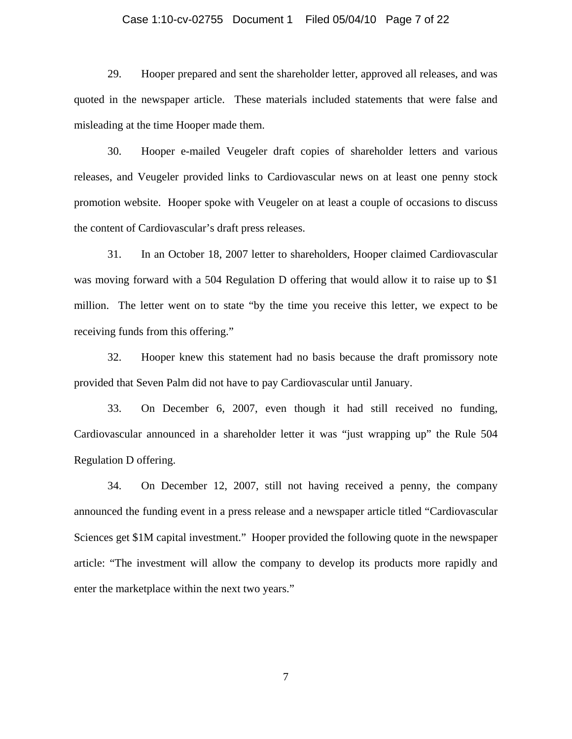#### Case 1:10-cv-02755 Document 1 Filed 05/04/10 Page 7 of 22

29. Hooper prepared and sent the shareholder letter, approved all releases, and was quoted in the newspaper article. These materials included statements that were false and misleading at the time Hooper made them.

30. Hooper e-mailed Veugeler draft copies of shareholder letters and various releases, and Veugeler provided links to Cardiovascular news on at least one penny stock promotion website. Hooper spoke with Veugeler on at least a couple of occasions to discuss the content of Cardiovascular's draft press releases.

31. In an October 18, 2007 letter to shareholders, Hooper claimed Cardiovascular was moving forward with a 504 Regulation D offering that would allow it to raise up to \$1 million. The letter went on to state "by the time you receive this letter, we expect to be receiving funds from this offering."

32. Hooper knew this statement had no basis because the draft promissory note provided that Seven Palm did not have to pay Cardiovascular until January.

33. On December 6, 2007, even though it had still received no funding, Cardiovascular announced in a shareholder letter it was "just wrapping up" the Rule 504 Regulation D offering.

34. On December 12, 2007, still not having received a penny, the company announced the funding event in a press release and a newspaper article titled "Cardiovascular Sciences get \$1M capital investment." Hooper provided the following quote in the newspaper article: "The investment will allow the company to develop its products more rapidly and enter the marketplace within the next two years."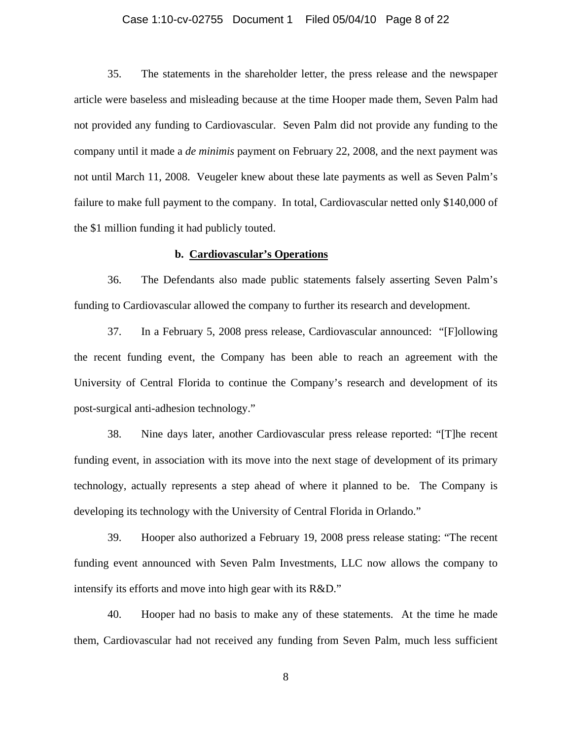#### Case 1:10-cv-02755 Document 1 Filed 05/04/10 Page 8 of 22

35. The statements in the shareholder letter, the press release and the newspaper article were baseless and misleading because at the time Hooper made them, Seven Palm had not provided any funding to Cardiovascular.Seven Palm did not provide any funding to the company until it made a *de minimis* payment on February 22, 2008, and the next payment was not until March 11, 2008. Veugeler knew about these late payments as well as Seven Palm's failure to make full payment to the company. In total, Cardiovascular netted only \$140,000 of the \$1 million funding it had publicly touted.

### **b. Cardiovascular's Operations**

36. The Defendants also made public statements falsely asserting Seven Palm's funding to Cardiovascular allowed the company to further its research and development.

37. In a February 5, 2008 press release, Cardiovascular announced: "[F]ollowing the recent funding event, the Company has been able to reach an agreement with the University of Central Florida to continue the Company's research and development of its post-surgical anti-adhesion technology."

38. Nine days later, another Cardiovascular press release reported: "[T]he recent funding event, in association with its move into the next stage of development of its primary technology, actually represents a step ahead of where it planned to be. The Company is developing its technology with the University of Central Florida in Orlando."

39. Hooper also authorized a February 19, 2008 press release stating: "The recent funding event announced with Seven Palm Investments, LLC now allows the company to intensify its efforts and move into high gear with its R&D."

40. Hooper had no basis to make any of these statements. At the time he made them, Cardiovascular had not received any funding from Seven Palm, much less sufficient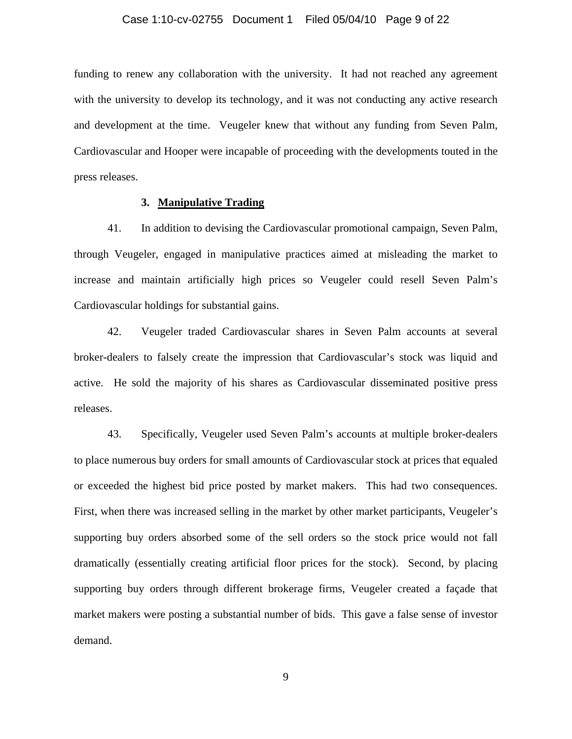funding to renew any collaboration with the university. It had not reached any agreement with the university to develop its technology, and it was not conducting any active research and development at the time. Veugeler knew that without any funding from Seven Palm, Cardiovascular and Hooper were incapable of proceeding with the developments touted in the press releases.

## **3. Manipulative Trading**

41. In addition to devising the Cardiovascular promotional campaign, Seven Palm, through Veugeler, engaged in manipulative practices aimed at misleading the market to increase and maintain artificially high prices so Veugeler could resell Seven Palm's Cardiovascular holdings for substantial gains.

42. Veugeler traded Cardiovascular shares in Seven Palm accounts at several broker-dealers to falsely create the impression that Cardiovascular's stock was liquid and active. He sold the majority of his shares as Cardiovascular disseminated positive press releases.

43. Specifically, Veugeler used Seven Palm's accounts at multiple broker-dealers to place numerous buy orders for small amounts of Cardiovascular stock at prices that equaled or exceeded the highest bid price posted by market makers. This had two consequences. First, when there was increased selling in the market by other market participants, Veugeler's supporting buy orders absorbed some of the sell orders so the stock price would not fall dramatically (essentially creating artificial floor prices for the stock). Second, by placing supporting buy orders through different brokerage firms, Veugeler created a façade that market makers were posting a substantial number of bids. This gave a false sense of investor demand.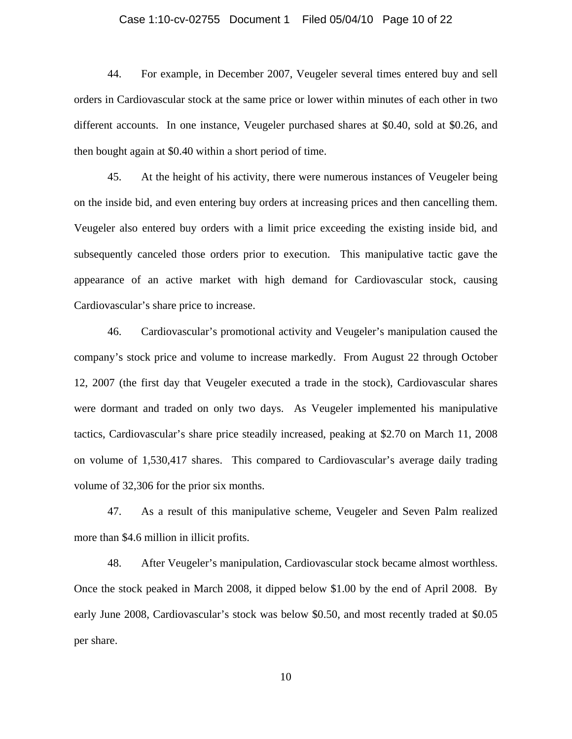# Case 1:10-cv-02755 Document 1 Filed 05/04/10 Page 10 of 22

44. For example, in December 2007, Veugeler several times entered buy and sell orders in Cardiovascular stock at the same price or lower within minutes of each other in two different accounts. In one instance, Veugeler purchased shares at \$0.40, sold at \$0.26, and then bought again at \$0.40 within a short period of time.

45. At the height of his activity, there were numerous instances of Veugeler being on the inside bid, and even entering buy orders at increasing prices and then cancelling them. Veugeler also entered buy orders with a limit price exceeding the existing inside bid, and subsequently canceled those orders prior to execution. This manipulative tactic gave the appearance of an active market with high demand for Cardiovascular stock, causing Cardiovascular's share price to increase.

46. Cardiovascular's promotional activity and Veugeler's manipulation caused the company's stock price and volume to increase markedly. From August 22 through October 12, 2007 (the first day that Veugeler executed a trade in the stock), Cardiovascular shares were dormant and traded on only two days. As Veugeler implemented his manipulative tactics, Cardiovascular's share price steadily increased, peaking at \$2.70 on March 11, 2008 on volume of 1,530,417 shares. This compared to Cardiovascular's average daily trading volume of 32,306 for the prior six months.

47. As a result of this manipulative scheme, Veugeler and Seven Palm realized more than \$4.6 million in illicit profits.

48. After Veugeler's manipulation, Cardiovascular stock became almost worthless. Once the stock peaked in March 2008, it dipped below \$1.00 by the end of April 2008. By early June 2008, Cardiovascular's stock was below \$0.50, and most recently traded at \$0.05 per share.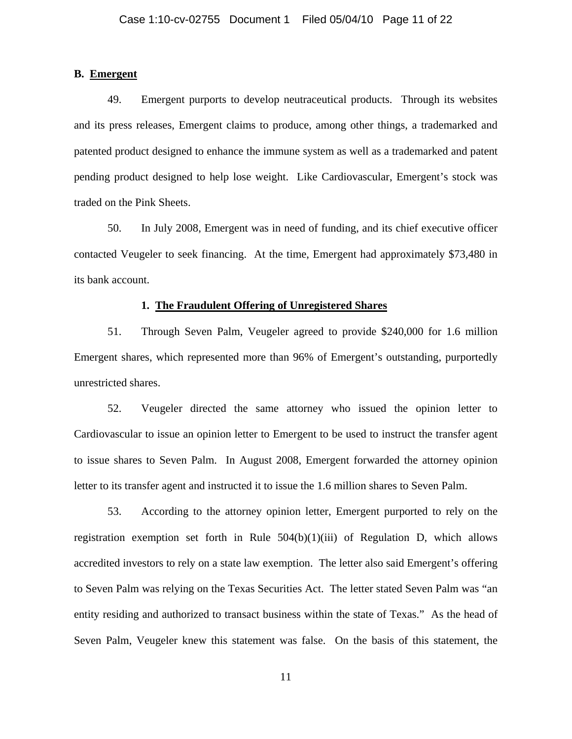## **B. Emergent**

49. Emergent purports to develop neutraceutical products. Through its websites and its press releases, Emergent claims to produce, among other things, a trademarked and patented product designed to enhance the immune system as well as a trademarked and patent pending product designed to help lose weight. Like Cardiovascular, Emergent's stock was traded on the Pink Sheets.

50. In July 2008, Emergent was in need of funding, and its chief executive officer contacted Veugeler to seek financing. At the time, Emergent had approximately \$73,480 in its bank account.

#### **1. The Fraudulent Offering of Unregistered Shares**

51. Through Seven Palm, Veugeler agreed to provide \$240,000 for 1.6 million Emergent shares, which represented more than 96% of Emergent's outstanding, purportedly unrestricted shares.

52. Veugeler directed the same attorney who issued the opinion letter to Cardiovascular to issue an opinion letter to Emergent to be used to instruct the transfer agent to issue shares to Seven Palm. In August 2008, Emergent forwarded the attorney opinion letter to its transfer agent and instructed it to issue the 1.6 million shares to Seven Palm.

53. According to the attorney opinion letter, Emergent purported to rely on the registration exemption set forth in Rule  $504(b)(1)(iii)$  of Regulation D, which allows accredited investors to rely on a state law exemption. The letter also said Emergent's offering to Seven Palm was relying on the Texas Securities Act. The letter stated Seven Palm was "an entity residing and authorized to transact business within the state of Texas." As the head of Seven Palm, Veugeler knew this statement was false.On the basis of this statement, the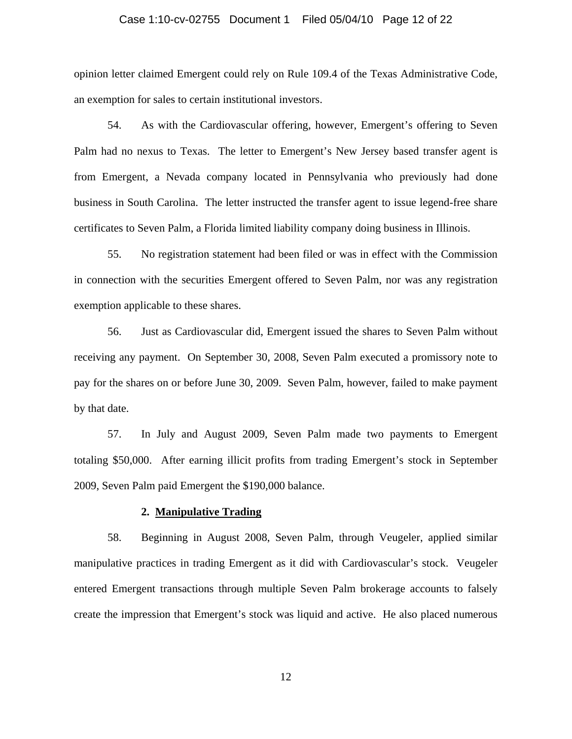### Case 1:10-cv-02755 Document 1 Filed 05/04/10 Page 12 of 22

opinion letter claimed Emergent could rely on Rule 109.4 of the Texas Administrative Code, an exemption for sales to certain institutional investors.

54. As with the Cardiovascular offering, however, Emergent's offering to Seven Palm had no nexus to Texas. The letter to Emergent's New Jersey based transfer agent is from Emergent, a Nevada company located in Pennsylvania who previously had done business in South Carolina. The letter instructed the transfer agent to issue legend-free share certificates to Seven Palm, a Florida limited liability company doing business in Illinois.

55. No registration statement had been filed or was in effect with the Commission in connection with the securities Emergent offered to Seven Palm, nor was any registration exemption applicable to these shares.

56. Just as Cardiovascular did, Emergent issued the shares to Seven Palm without receiving any payment. On September 30, 2008, Seven Palm executed a promissory note to pay for the shares on or before June 30, 2009. Seven Palm, however, failed to make payment by that date.

57. In July and August 2009, Seven Palm made two payments to Emergent totaling \$50,000. After earning illicit profits from trading Emergent's stock in September 2009, Seven Palm paid Emergent the \$190,000 balance.

#### **2. Manipulative Trading**

58. Beginning in August 2008, Seven Palm, through Veugeler, applied similar manipulative practices in trading Emergent as it did with Cardiovascular's stock. Veugeler entered Emergent transactions through multiple Seven Palm brokerage accounts to falsely create the impression that Emergent's stock was liquid and active. He also placed numerous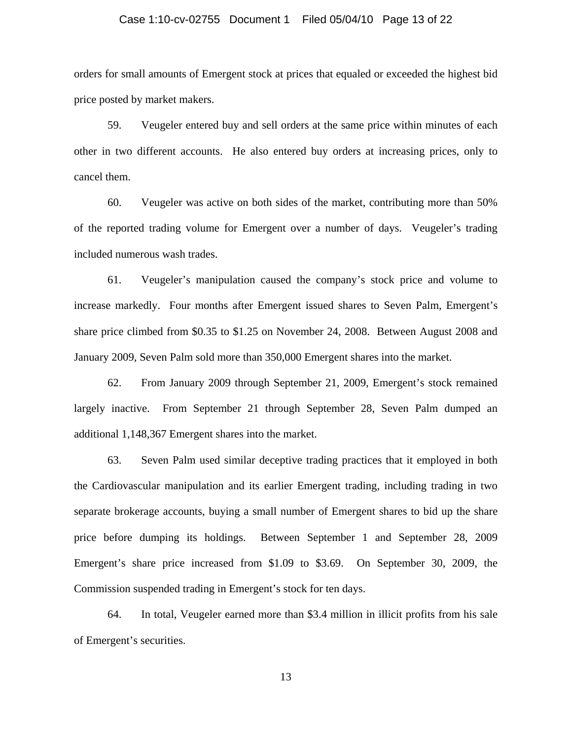#### Case 1:10-cv-02755 Document 1 Filed 05/04/10 Page 13 of 22

orders for small amounts of Emergent stock at prices that equaled or exceeded the highest bid price posted by market makers.

59. Veugeler entered buy and sell orders at the same price within minutes of each other in two different accounts. He also entered buy orders at increasing prices, only to cancel them.

60. Veugeler was active on both sides of the market, contributing more than 50% of the reported trading volume for Emergent over a number of days. Veugeler's trading included numerous wash trades.

61. Veugeler's manipulation caused the company's stock price and volume to increase markedly. Four months after Emergent issued shares to Seven Palm, Emergent's share price climbed from \$0.35 to \$1.25 on November 24, 2008. Between August 2008 and January 2009, Seven Palm sold more than 350,000 Emergent shares into the market.

62. From January 2009 through September 21, 2009, Emergent's stock remained largely inactive. From September 21 through September 28, Seven Palm dumped an additional 1,148,367 Emergent shares into the market.

63. Seven Palm used similar deceptive trading practices that it employed in both the Cardiovascular manipulation and its earlier Emergent trading, including trading in two separate brokerage accounts, buying a small number of Emergent shares to bid up the share price before dumping its holdings. Between September 1 and September 28, 2009 Emergent's share price increased from \$1.09 to \$3.69. On September 30, 2009, the Commission suspended trading in Emergent's stock for ten days.

64. In total, Veugeler earned more than \$3.4 million in illicit profits from his sale of Emergent's securities.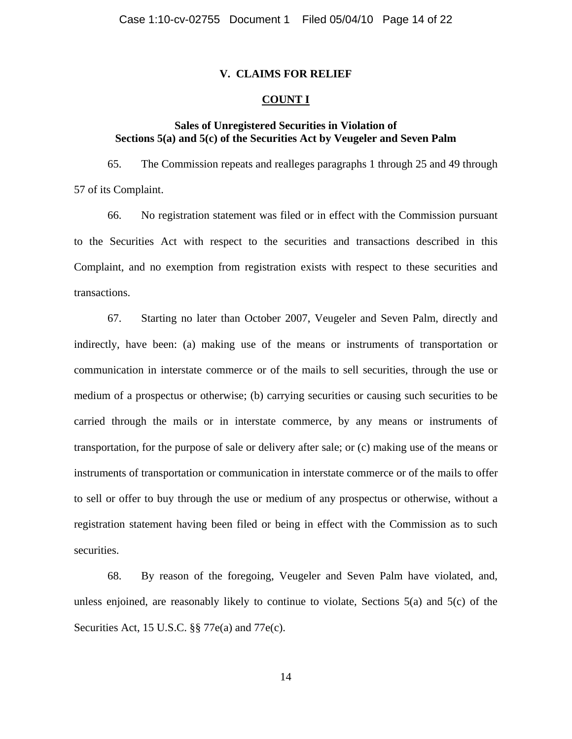## **V. CLAIMS FOR RELIEF**

## **COUNT I**

# **Sales of Unregistered Securities in Violation of Sections 5(a) and 5(c) of the Securities Act by Veugeler and Seven Palm**

65. The Commission repeats and realleges paragraphs 1 through 25 and 49 through 57 of its Complaint.

66. No registration statement was filed or in effect with the Commission pursuant to the Securities Act with respect to the securities and transactions described in this Complaint, and no exemption from registration exists with respect to these securities and transactions.

67. Starting no later than October 2007, Veugeler and Seven Palm, directly and indirectly, have been: (a) making use of the means or instruments of transportation or communication in interstate commerce or of the mails to sell securities, through the use or medium of a prospectus or otherwise; (b) carrying securities or causing such securities to be carried through the mails or in interstate commerce, by any means or instruments of transportation, for the purpose of sale or delivery after sale; or (c) making use of the means or instruments of transportation or communication in interstate commerce or of the mails to offer to sell or offer to buy through the use or medium of any prospectus or otherwise, without a registration statement having been filed or being in effect with the Commission as to such securities.

68. By reason of the foregoing, Veugeler and Seven Palm have violated, and, unless enjoined, are reasonably likely to continue to violate, Sections  $5(a)$  and  $5(c)$  of the Securities Act, 15 U.S.C. §§ 77e(a) and 77e(c).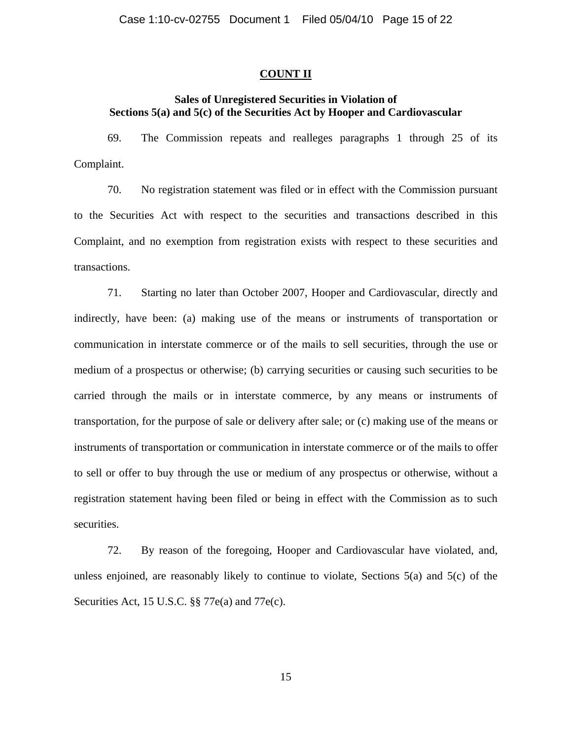## **COUNT II**

# **Sales of Unregistered Securities in Violation of Sections 5(a) and 5(c) of the Securities Act by Hooper and Cardiovascular**

69. The Commission repeats and realleges paragraphs 1 through 25 of its Complaint.

70. No registration statement was filed or in effect with the Commission pursuant to the Securities Act with respect to the securities and transactions described in this Complaint, and no exemption from registration exists with respect to these securities and transactions.

71. Starting no later than October 2007, Hooper and Cardiovascular, directly and indirectly, have been: (a) making use of the means or instruments of transportation or communication in interstate commerce or of the mails to sell securities, through the use or medium of a prospectus or otherwise; (b) carrying securities or causing such securities to be carried through the mails or in interstate commerce, by any means or instruments of transportation, for the purpose of sale or delivery after sale; or (c) making use of the means or instruments of transportation or communication in interstate commerce or of the mails to offer to sell or offer to buy through the use or medium of any prospectus or otherwise, without a registration statement having been filed or being in effect with the Commission as to such securities.

72. By reason of the foregoing, Hooper and Cardiovascular have violated, and, unless enjoined, are reasonably likely to continue to violate, Sections 5(a) and 5(c) of the Securities Act, 15 U.S.C. §§ 77e(a) and 77e(c).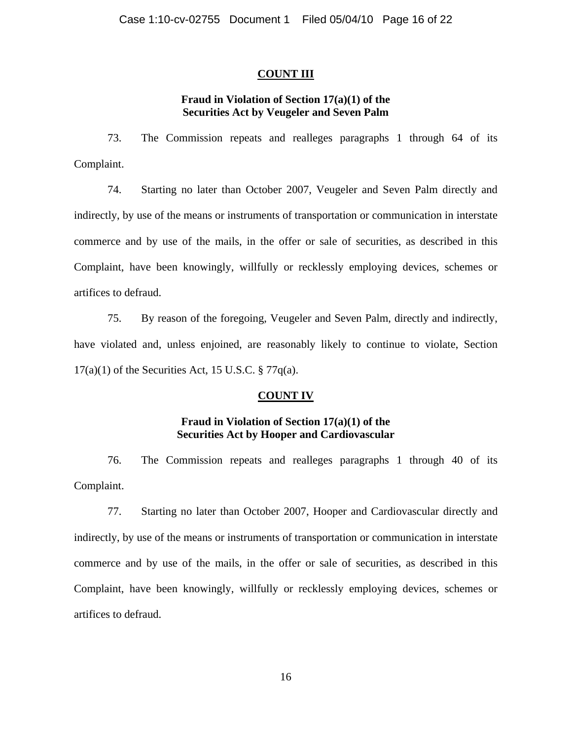# **COUNT III**

# **Fraud in Violation of Section 17(a)(1) of the Securities Act by Veugeler and Seven Palm**

73. The Commission repeats and realleges paragraphs 1 through 64 of its Complaint.

74. Starting no later than October 2007, Veugeler and Seven Palm directly and indirectly, by use of the means or instruments of transportation or communication in interstate commerce and by use of the mails, in the offer or sale of securities, as described in this Complaint, have been knowingly, willfully or recklessly employing devices, schemes or artifices to defraud.

75. By reason of the foregoing, Veugeler and Seven Palm, directly and indirectly, have violated and, unless enjoined, are reasonably likely to continue to violate, Section  $17(a)(1)$  of the Securities Act, 15 U.S.C. § 77 $q(a)$ .

## **COUNT IV**

# **Fraud in Violation of Section 17(a)(1) of the Securities Act by Hooper and Cardiovascular**

76. The Commission repeats and realleges paragraphs 1 through 40 of its Complaint.

77. Starting no later than October 2007, Hooper and Cardiovascular directly and indirectly, by use of the means or instruments of transportation or communication in interstate commerce and by use of the mails, in the offer or sale of securities, as described in this Complaint, have been knowingly, willfully or recklessly employing devices, schemes or artifices to defraud.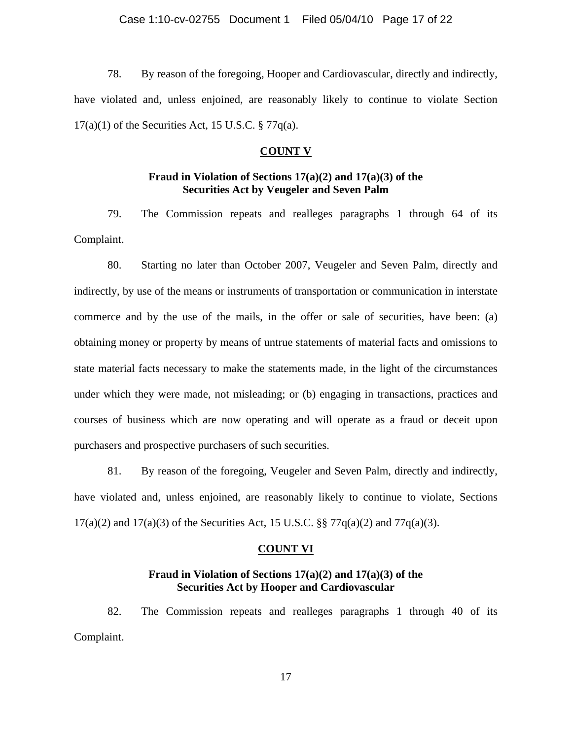78. By reason of the foregoing, Hooper and Cardiovascular, directly and indirectly, have violated and, unless enjoined, are reasonably likely to continue to violate Section  $17(a)(1)$  of the Securities Act, 15 U.S.C. § 77 $q(a)$ .

### **COUNT V**

# **Fraud in Violation of Sections 17(a)(2) and 17(a)(3) of the Securities Act by Veugeler and Seven Palm**

79. The Commission repeats and realleges paragraphs 1 through 64 of its Complaint.

80. Starting no later than October 2007, Veugeler and Seven Palm, directly and indirectly, by use of the means or instruments of transportation or communication in interstate commerce and by the use of the mails, in the offer or sale of securities, have been: (a) obtaining money or property by means of untrue statements of material facts and omissions to state material facts necessary to make the statements made, in the light of the circumstances under which they were made, not misleading; or (b) engaging in transactions, practices and courses of business which are now operating and will operate as a fraud or deceit upon purchasers and prospective purchasers of such securities.

81. By reason of the foregoing, Veugeler and Seven Palm, directly and indirectly, have violated and, unless enjoined, are reasonably likely to continue to violate, Sections 17(a)(2) and 17(a)(3) of the Securities Act, 15 U.S.C. §§ 77 $q(a)(2)$  and 77 $q(a)(3)$ .

### **COUNT VI**

## **Fraud in Violation of Sections 17(a)(2) and 17(a)(3) of the Securities Act by Hooper and Cardiovascular**

82. The Commission repeats and realleges paragraphs 1 through 40 of its Complaint.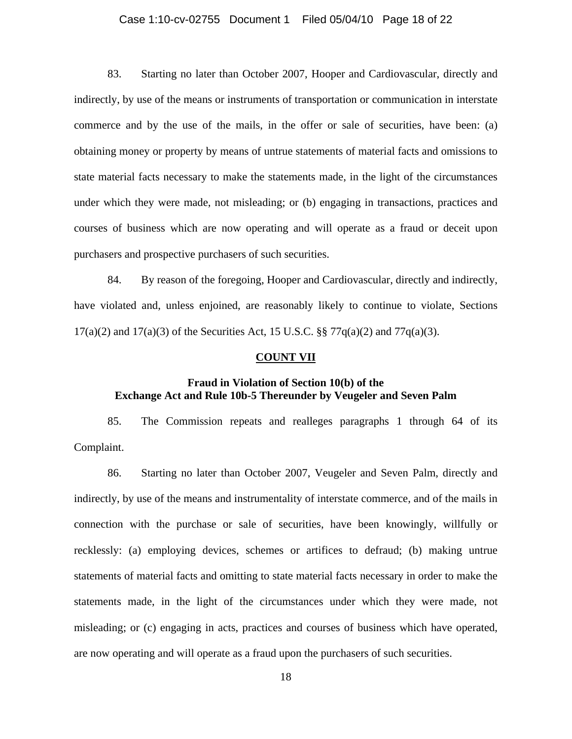### Case 1:10-cv-02755 Document 1 Filed 05/04/10 Page 18 of 22

83. Starting no later than October 2007, Hooper and Cardiovascular, directly and indirectly, by use of the means or instruments of transportation or communication in interstate commerce and by the use of the mails, in the offer or sale of securities, have been: (a) obtaining money or property by means of untrue statements of material facts and omissions to state material facts necessary to make the statements made, in the light of the circumstances under which they were made, not misleading; or (b) engaging in transactions, practices and courses of business which are now operating and will operate as a fraud or deceit upon purchasers and prospective purchasers of such securities.

84. By reason of the foregoing, Hooper and Cardiovascular, directly and indirectly, have violated and, unless enjoined, are reasonably likely to continue to violate, Sections 17(a)(2) and 17(a)(3) of the Securities Act, 15 U.S.C.  $\S$  77q(a)(2) and 77q(a)(3).

#### **COUNT VII**

# **Fraud in Violation of Section 10(b) of the Exchange Act and Rule 10b-5 Thereunder by Veugeler and Seven Palm**

85. The Commission repeats and realleges paragraphs 1 through 64 of its Complaint.

86. Starting no later than October 2007, Veugeler and Seven Palm, directly and indirectly, by use of the means and instrumentality of interstate commerce, and of the mails in connection with the purchase or sale of securities, have been knowingly, willfully or recklessly: (a) employing devices, schemes or artifices to defraud; (b) making untrue statements of material facts and omitting to state material facts necessary in order to make the statements made, in the light of the circumstances under which they were made, not misleading; or (c) engaging in acts, practices and courses of business which have operated, are now operating and will operate as a fraud upon the purchasers of such securities.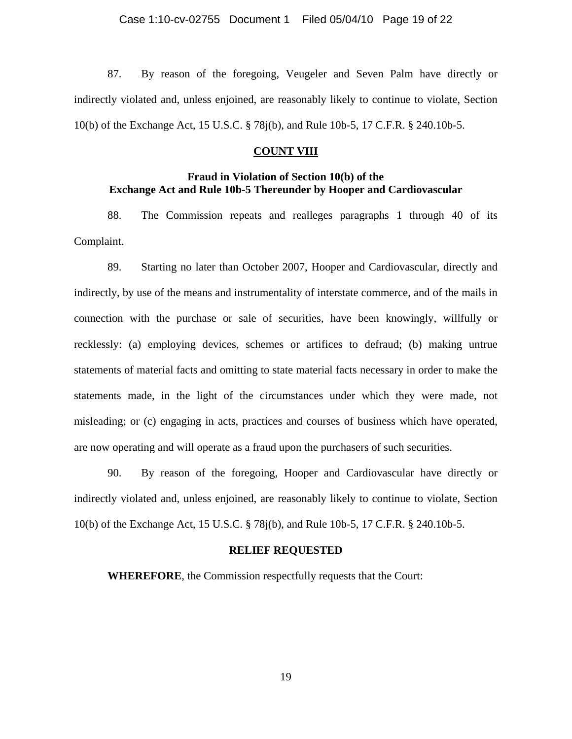87. By reason of the foregoing, Veugeler and Seven Palm have directly or indirectly violated and, unless enjoined, are reasonably likely to continue to violate, Section 10(b) of the Exchange Act, 15 U.S.C. § 78j(b), and Rule 10b-5, 17 C.F.R. § 240.10b-5.

### **COUNT VIII**

# **Fraud in Violation of Section 10(b) of the Exchange Act and Rule 10b-5 Thereunder by Hooper and Cardiovascular**

88. The Commission repeats and realleges paragraphs 1 through 40 of its Complaint.

89. Starting no later than October 2007, Hooper and Cardiovascular, directly and indirectly, by use of the means and instrumentality of interstate commerce, and of the mails in connection with the purchase or sale of securities, have been knowingly, willfully or recklessly: (a) employing devices, schemes or artifices to defraud; (b) making untrue statements of material facts and omitting to state material facts necessary in order to make the statements made, in the light of the circumstances under which they were made, not misleading; or (c) engaging in acts, practices and courses of business which have operated, are now operating and will operate as a fraud upon the purchasers of such securities.

90. By reason of the foregoing, Hooper and Cardiovascular have directly or indirectly violated and, unless enjoined, are reasonably likely to continue to violate, Section 10(b) of the Exchange Act, 15 U.S.C. § 78j(b), and Rule 10b-5, 17 C.F.R. § 240.10b-5.

### **RELIEF REQUESTED**

 **WHEREFORE**, the Commission respectfully requests that the Court: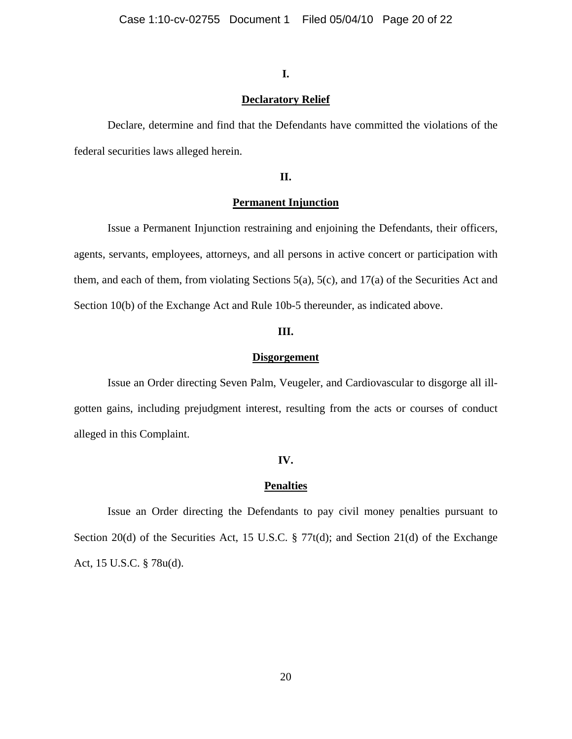## **I.**

## **Declaratory Relief**

 Declare, determine and find that the Defendants have committed the violations of the federal securities laws alleged herein.

# **II.**

## **Permanent Injunction**

Issue a Permanent Injunction restraining and enjoining the Defendants, their officers, agents, servants, employees, attorneys, and all persons in active concert or participation with them, and each of them, from violating Sections 5(a), 5(c), and 17(a) of the Securities Act and Section 10(b) of the Exchange Act and Rule 10b-5 thereunder, as indicated above.

### **III.**

#### **Disgorgement**

 Issue an Order directing Seven Palm, Veugeler, and Cardiovascular to disgorge all illgotten gains, including prejudgment interest, resulting from the acts or courses of conduct alleged in this Complaint.

### **IV.**

### **Penalties**

Issue an Order directing the Defendants to pay civil money penalties pursuant to Section 20(d) of the Securities Act, 15 U.S.C. § 77t(d); and Section 21(d) of the Exchange Act, 15 U.S.C. § 78u(d).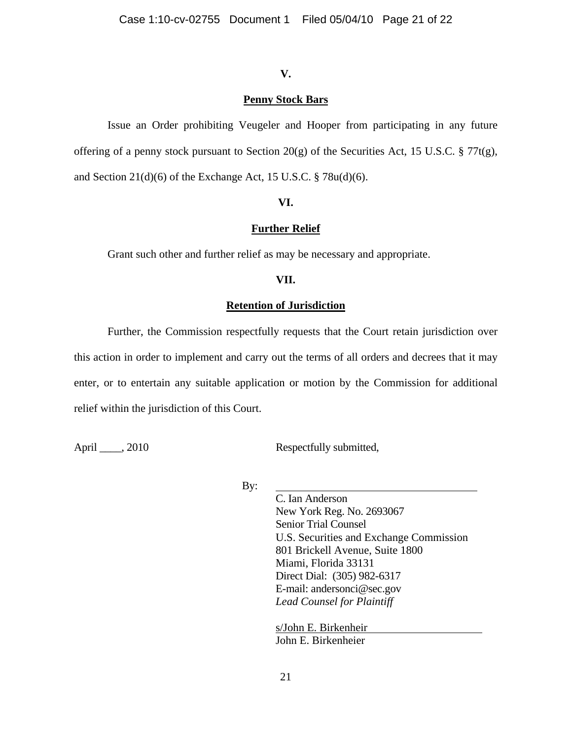# **V.**

# **Penny Stock Bars**

 Issue an Order prohibiting Veugeler and Hooper from participating in any future offering of a penny stock pursuant to Section 20(g) of the Securities Act, 15 U.S.C.  $\S 77t(g)$ , and Section  $21(d)(6)$  of the Exchange Act, 15 U.S.C. § 78u(d)(6).

# **VI.**

# **Further Relief**

Grant such other and further relief as may be necessary and appropriate.

# **VII.**

## **Retention of Jurisdiction**

Further, the Commission respectfully requests that the Court retain jurisdiction over this action in order to implement and carry out the terms of all orders and decrees that it may enter, or to entertain any suitable application or motion by the Commission for additional relief within the jurisdiction of this Court.

April \_\_\_\_, 2010 Respectfully submitted,

By:

C. Ian Anderson New York Reg. No. 2693067 Senior Trial Counsel U.S. Securities and Exchange Commission 801 Brickell Avenue, Suite 1800 Miami, Florida 33131 Direct Dial: (305) 982-6317 E-mail: andersonci@sec.gov *Lead Counsel for Plaintiff*

 s/John E. Birkenheir John E. Birkenheier